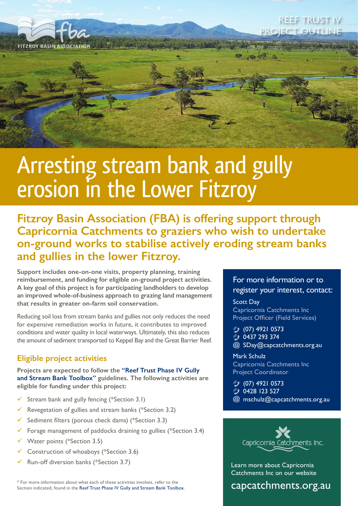

## **EF TRUST IV** PROJECT OUTLINE

# Arresting stream bank and gully erosion in the Lower Fitzroy

**Fitzroy Basin Association (FBA) is offering support through Capricornia Catchments to graziers who wish to undertake on-ground works to stabilise actively eroding stream banks and gullies in the lower Fitzroy.**

**Support includes one-on-one visits, property planning, training reimbursement, and funding for eligible on-ground project activities. A key goal of this project is for participating landholders to develop an improved whole-of-business approach to grazing land management that results in greater on-farm soil conservation.**

Reducing soil loss from stream banks and gullies not only reduces the need for expensive remediation works in future, it contributes to improved conditions and water quality in local waterways. Ultimately, this also reduces the amount of sediment transported to Keppel Bay and the Great Barrier Reef.

### **Eligible project activities**

**Projects are expected to follow the ["Reef Trust Phase IV Gully](https://www.environment.gov.au/system/files/pages/1542be6d-c5bb-4259-b20e-c4847abc373f/files/reef-trust-phaseiv-toolbox.pdf)  [and Stream Bank Toolbox"](https://www.environment.gov.au/system/files/pages/1542be6d-c5bb-4259-b20e-c4847abc373f/files/reef-trust-phaseiv-toolbox.pdf) guidelines. The following activities are eligible for funding under this project:**

- Stream bank and gully fencing (\*Section 3.1)
- Europeen Revegetation of gullies and stream banks (\*Section 3.2)
- Sediment filters (porous check dams) (\*Section 3.3)
- Forage management of paddocks draining to gullies (\*Section 3.4)
- Water points (\*Section 3.5)
- ü Construction of whoaboys (\*Section 3.6)
- ü Run-off diversion banks (\*Section 3.7)

\* For more information about what each of these activities involves, refer to the Section indicated, found in the [Reef Trust Phase IV Gully and Stream Bank Toolbox.](https://www.environment.gov.au/system/files/pages/1542be6d-c5bb-4259-b20e-c4847abc373f/files/reef-trust-phaseiv-toolbox.pdf)

#### For more information or to register your interest, contact:

Scott Day Capricornia Catchments Inc Project Officer (Field Services)

(07) 4921 0573

- **3** 0437 293 374
- SDay@capcatchments.org.au

Mark Schulz

Capricornia Catchments Inc Project Coordinator

**3** (07) 4921 0573

- **3** 0428 123 527
- mschulz@capcatchments.org.au



Learn more about Capricornia Catchments Inc on our website

[capcatchments.org.au](http://www.capcatchments.org.au/)